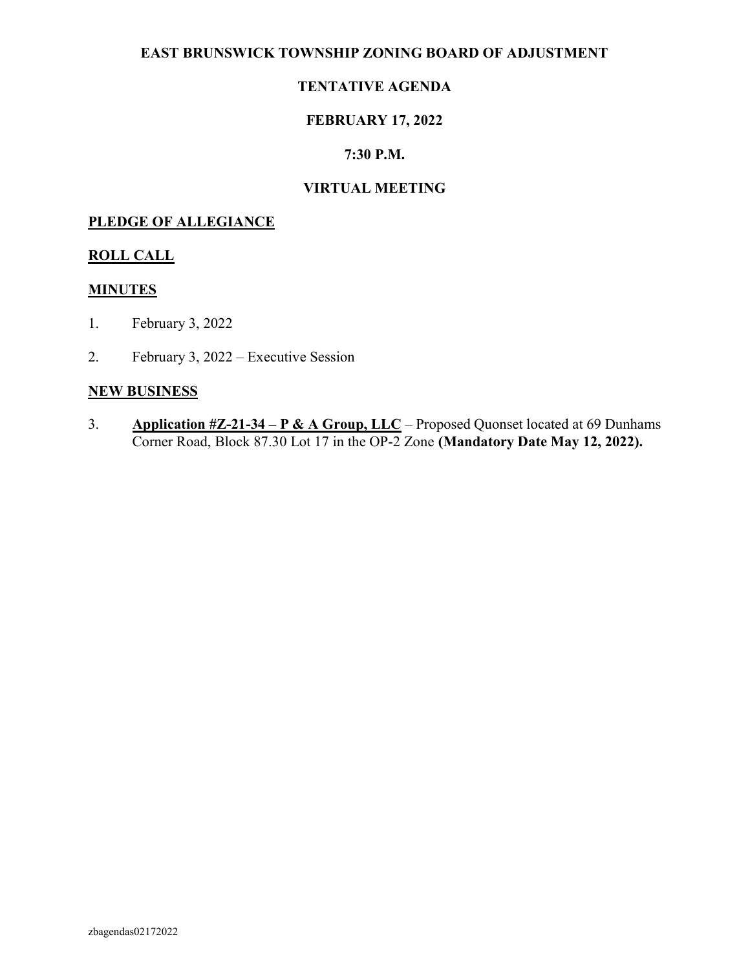#### EAST BRUNSWICK TOWNSHIP ZONING BOARD OF ADJUSTMENT

### TENTATIVE AGENDA

#### FEBRUARY 17, 2022

#### 7:30 P.M.

#### VIRTUAL MEETING

#### PLEDGE OF ALLEGIANCE

#### ROLL CALL

#### MINUTES

- 1. February 3, 2022
- 2. February 3, 2022 Executive Session

#### NEW BUSINESS

3. Application  $\#Z$ -21-34 – P & A Group, LLC – Proposed Quonset located at 69 Dunhams Corner Road, Block 87.30 Lot 17 in the OP-2 Zone (Mandatory Date May 12, 2022).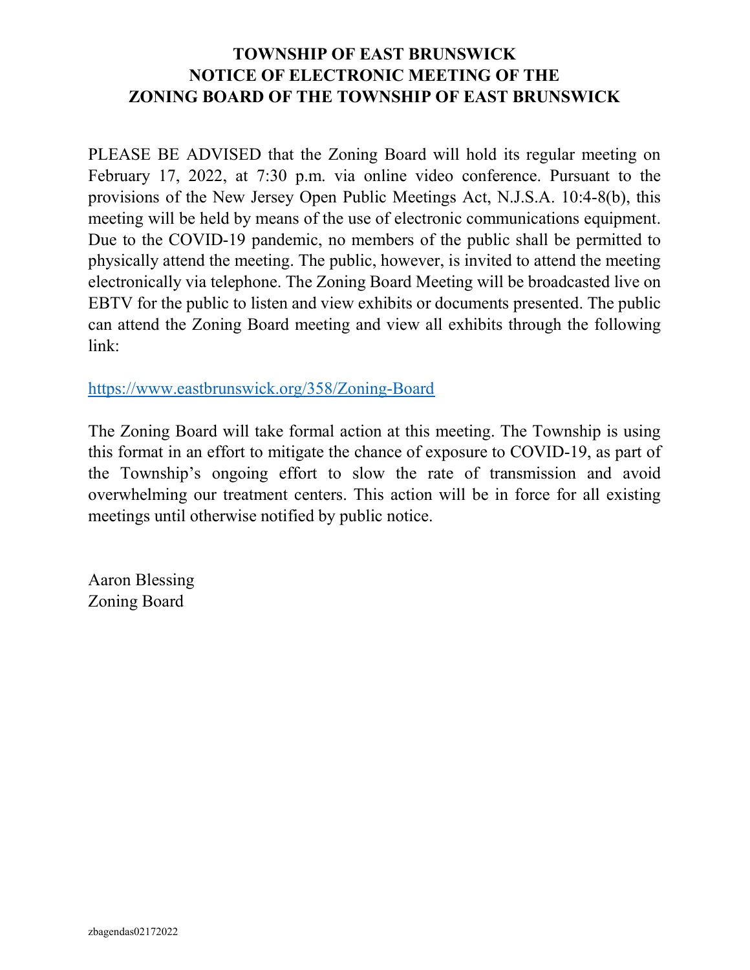### TOWNSHIP OF EAST BRUNSWICK NOTICE OF ELECTRONIC MEETING OF THE ZONING BOARD OF THE TOWNSHIP OF EAST BRUNSWICK

PLEASE BE ADVISED that the Zoning Board will hold its regular meeting on February 17, 2022, at 7:30 p.m. via online video conference. Pursuant to the provisions of the New Jersey Open Public Meetings Act, N.J.S.A. 10:4-8(b), this meeting will be held by means of the use of electronic communications equipment. Due to the COVID-19 pandemic, no members of the public shall be permitted to physically attend the meeting. The public, however, is invited to attend the meeting electronically via telephone. The Zoning Board Meeting will be broadcasted live on EBTV for the public to listen and view exhibits or documents presented. The public can attend the Zoning Board meeting and view all exhibits through the following link:

https://www.eastbrunswick.org/358/Zoning-Board

The Zoning Board will take formal action at this meeting. The Township is using this format in an effort to mitigate the chance of exposure to COVID-19, as part of the Township's ongoing effort to slow the rate of transmission and avoid overwhelming our treatment centers. This action will be in force for all existing meetings until otherwise notified by public notice.

Aaron Blessing Zoning Board